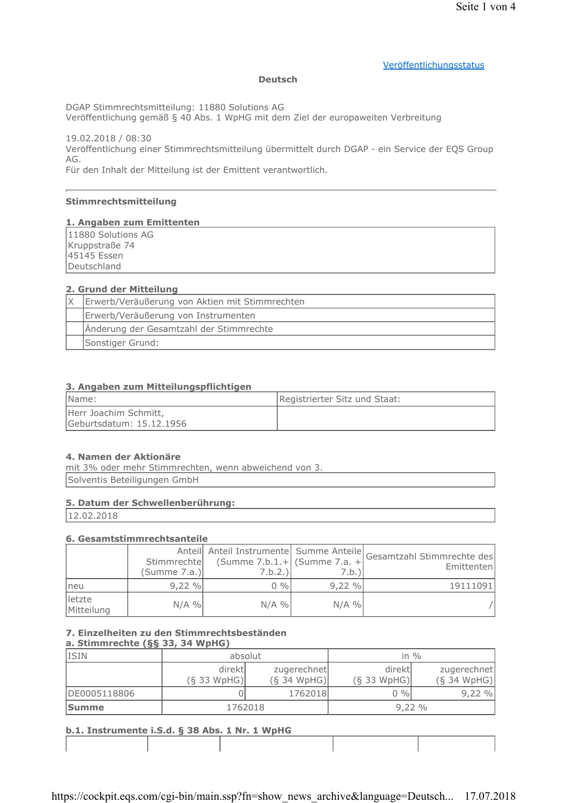## Veröffentlichungsstatus

#### **Deutsch**

DGAP Stimmrechtsmitteilung: 11880 Solutions AG

Veröffentlichung gemäß § 40 Abs. 1 WpHG mit dem Ziel der europaweiten Verbreitung

19.02.2018 / 08:30 Veröffentlichung einer Stimmrechtsmitteilung übermittelt durch DGAP - ein Service der EQS Group AG.

Für den Inhalt der Mitteilung ist der Emittent verantwortlich.

## Stimmrechtsmitteilung

#### 1. Angaben zum Emittenten

11880 Solutions AG Kruppstraße 74 45145 Essen Deutschland

#### 2. Grund der Mitteilung

| Erwerb/Veräußerung von Aktien mit Stimmrechten |  |
|------------------------------------------------|--|
| Erwerb/Veräußerung von Instrumenten            |  |
| Änderung der Gesamtzahl der Stimmrechte        |  |
| Sonstiger Grund:                               |  |

#### 3. Angaben zum Mitteilungspflichtigen

| Name:                                             | Registrierter Sitz und Staat: |
|---------------------------------------------------|-------------------------------|
| Herr Joachim Schmitt,<br>Geburtsdatum: 15.12.1956 |                               |

#### 4. Namen der Aktionäre

mit 3% oder mehr Stimmrechten, wenn abweichend von 3. Solventis Beteiligungen GmbH

#### 5. Datum der Schwellenberührung:

12.02.2018

#### 6. Gesamtstimmrechtsanteile

|                      | (Summe 7.a.) | Stimmrechte (Summe 7.b.1.+   (Summe 7.a. +<br>7.b.2.) | 7.b.)I   | Anteil Anteil Instrumente Summe Anteile Gesamtzahl Stimmrechte des<br>Emittenten |
|----------------------|--------------|-------------------------------------------------------|----------|----------------------------------------------------------------------------------|
| Ineu                 | 9.22%        | $0\%$                                                 | $9.22\%$ | 19111091                                                                         |
| letzte<br>Mitteilung | $N/A$ %      | $N/A$ %                                               | $N/A$ %  |                                                                                  |

# 7. Einzelheiten zu den Stimmrechtsbeständen

# a. Stimmrechte (§§ 33, 34 WpHG)

| <b>ISIN</b>  | absolut                  |                              | in $\%$                  |                              |
|--------------|--------------------------|------------------------------|--------------------------|------------------------------|
|              | direktl<br>$(S$ 33 WpHG) | zugerechnet<br>$(S$ 34 WpHG) | direktl<br>$(S$ 33 WpHG) | zugerechnet<br>$(S$ 34 WpHG) |
| DE0005118806 |                          | 1762018                      | $0\%$                    | 9,22%                        |
| <b>Summe</b> | 1762018                  |                              | 9,22%                    |                              |

# h.1. Instrumente i.S.d. 8.38 Abs. 1 Nr. 1 WnHG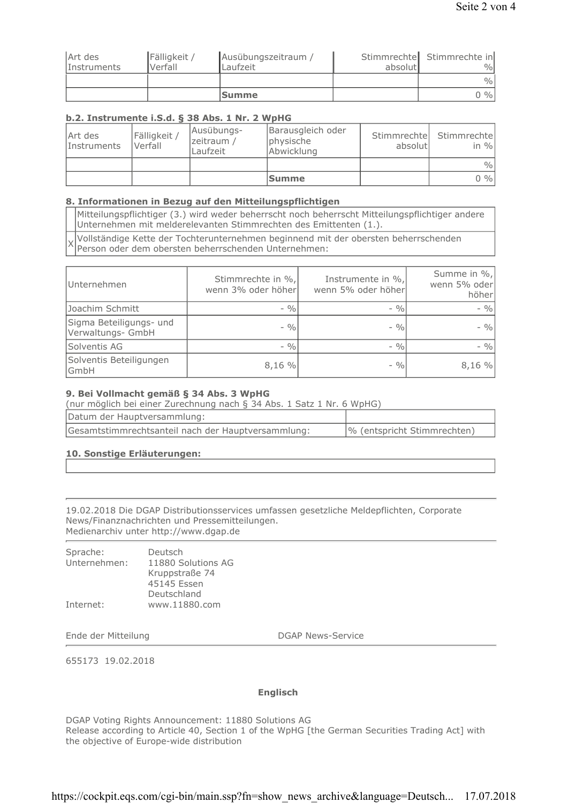|             |              | <b>Summe</b>        |         | $0\%$                      |
|-------------|--------------|---------------------|---------|----------------------------|
|             |              |                     |         | $\frac{9}{0}$              |
| Instruments | Verfall      | Laufzeit            | absolut | $\%$                       |
| Art des     | Fälligkeit / | Ausübungszeitraum / |         | Stimmrechte Stimmrechte in |

## b.2. Instrumente i.S.d. § 38 Abs. 1 Nr. 2 WpHG

| Art des<br>Instruments | Fälligkeit /<br>Verfall | Ausübungs-<br>zeitraum /<br>Laufzeit | Barausgleich oder<br>physische<br>Abwicklung | absolutl | Stimmrechte Stimmrechte<br>in $\%$ |
|------------------------|-------------------------|--------------------------------------|----------------------------------------------|----------|------------------------------------|
|                        |                         |                                      |                                              |          | $\frac{0}{0}$                      |
|                        |                         |                                      | <b>Summe</b>                                 |          | $0\%$                              |

## 8. Informationen in Bezug auf den Mitteilungspflichtigen

Mitteilungspflichtiger (3.) wird weder beherrscht noch beherrscht Mitteilungspflichtiger andere Unternehmen mit melderelevanten Stimmrechten des Emittenten (1.).

Vollständige Kette der Tochterunternehmen beginnend mit der obersten beherrschenden Person oder dem obersten beherrschenden Unternehmen:

| Unternehmen                                  | Stimmrechte in %,<br>wenn 3% oder höher | Instrumente in %,<br>wenn 5% oder höher | Summe in %,<br>wenn 5% oder<br>höher |
|----------------------------------------------|-----------------------------------------|-----------------------------------------|--------------------------------------|
| Joachim Schmitt                              | $-9/0$                                  | $-9/0$                                  | $-9/0$                               |
| Sigma Beteiligungs- und<br>Verwaltungs- GmbH | $-9/0$                                  | $-9/0$                                  | $-9/0$                               |
| Solventis AG                                 | $-9/6$                                  | $-9/0$                                  | $-9/0$                               |
| Solventis Beteiligungen<br>GmbH              | 8,16 %                                  | $-9/0$                                  | 8,16%                                |

## 9. Bei Vollmacht gemäß § 34 Abs. 3 WpHG

| (nur möglich bei einer Zurechnung nach § 34 Abs. 1 Satz 1 Nr. 6 WpHG) |                             |  |
|-----------------------------------------------------------------------|-----------------------------|--|
| Datum der Hauptversammlung:                                           |                             |  |
| Gesamtstimmrechtsanteil nach der Hauptversammlung:                    | % (entspricht Stimmrechten) |  |

## 10. Sonstige Erläuterungen:

19.02.2018 Die DGAP Distributionsservices umfassen gesetzliche Meldepflichten, Corporate News/Finanznachrichten und Pressemitteilungen. Medienarchiv unter http://www.dgap.de

| Sprache:     | Deutsch            |
|--------------|--------------------|
| Unternehmen: | 11880 Solutions AG |
|              | Kruppstraße 74     |
|              | 45145 Essen        |
|              | Deutschland        |
| Internet:    | www.11880.com      |

Ende der Mitteilung

DGAP News-Service

655173 19.02.2018

#### **Englisch**

DGAP Voting Rights Announcement: 11880 Solutions AG Release according to Article 40, Section 1 of the WpHG [the German Securities Trading Act] with the objective of Europe-wide distribution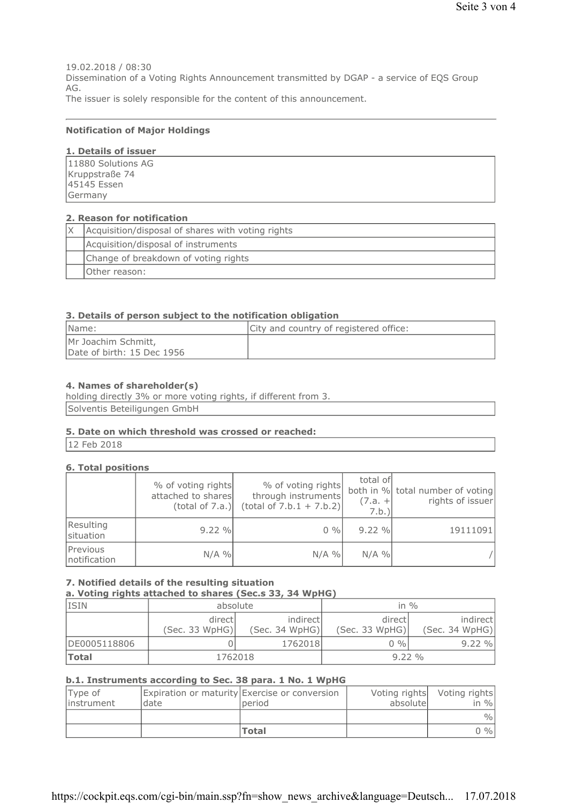19.02.2018 / 08:30 Dissemination of a Voting Rights Announcement transmitted by DGAP - a service of EQS Group AG. The issuer is solely responsible for the content of this announcement.

#### **Notification of Major Holdings**

## 1. Details of issuer

| 11880 Solutions AG            |  |
|-------------------------------|--|
|                               |  |
| Kruppstraße 74<br>45145 Essen |  |
| Germany                       |  |

#### 2. Reason for notification

| Acquisition/disposal of shares with voting rights |
|---------------------------------------------------|
| Acquisition/disposal of instruments               |
| Change of breakdown of voting rights              |
| Other reason:                                     |

#### 3. Details of person subject to the notification obligation

| Name:                                             | City and country of registered office: |
|---------------------------------------------------|----------------------------------------|
| Mr Joachim Schmitt,<br>Date of birth: 15 Dec 1956 |                                        |

## 4. Names of shareholder(s)

holding directly 3% or more voting rights, if different from 3. Solventis Beteiligungen GmbH

#### 5. Date on which threshold was crossed or reached:

12 Feb 2018

## **6. Total positions**

|                          | % of voting rights<br>attached to shares<br>(total of 7.a.) | % of voting rights<br>through instruments<br>$(total of 7.b.1 + 7.b.2)$ | total of<br>$(7.a. +$<br>7.b. | both in % total number of voting<br>rights of issuer |
|--------------------------|-------------------------------------------------------------|-------------------------------------------------------------------------|-------------------------------|------------------------------------------------------|
| Resulting<br>situation   | 9.22 %                                                      | $0\%$                                                                   | 9.22%                         | 19111091                                             |
| Previous<br>notification | $N/A$ %                                                     | $N/A$ %                                                                 | $N/A$ %                       |                                                      |

## 7. Notified details of the resulting situation

a. Voting rights attached to shares (Sec.s 33, 34 WpHG)

| <b>ISIN</b>  | absolute                  |                            | in $\%$                   |                            |
|--------------|---------------------------|----------------------------|---------------------------|----------------------------|
|              | directl<br>(Sec. 33 WpHG) | indirect<br>(Sec. 34 WpHG) | directl<br>(Sec. 33 WpHG) | indirect<br>(Sec. 34 WpHG) |
| DE0005118806 |                           | 1762018                    | $0\%$                     | 9.22 %                     |
| <b>Total</b> | 1762018                   |                            | $9.22\%$                  |                            |

#### b.1. Instruments according to Sec. 38 para. 1 No. 1 WpHG

| Type of<br>instrument | date | Expiration or maturity Exercise or conversion<br>period | absolute | Voting rights Voting rights<br>in $\%$ |
|-----------------------|------|---------------------------------------------------------|----------|----------------------------------------|
|                       |      |                                                         |          | $\frac{0}{0}$                          |
|                       |      | <b>Total</b>                                            |          | 0 %                                    |